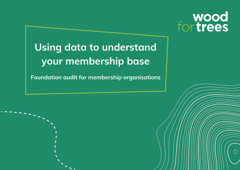# wood<br>for trees

## **Using data to understand your membership base**

**Foundation audit for membership organisations**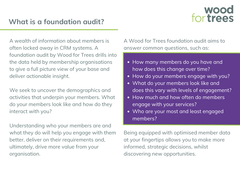## wood<br>for trees

### **What is a foundation audit?**

A wealth of information about members is often locked away in CRM systems. A foundation audit by Wood for Trees drills into the data held by membership organisations to give a full picture view of your base and deliver actionable insight.

We seek to uncover the demographics and activities that underpin your members. What do your members look like and how do they interact with you?

Understanding who your members are and what they do will help you engage with them better, deliver on their requirements and, ultimately, drive more value from your organisation.

A Wood for Trees foundation audit aims to answer common questions, such as:

- How many members do you have and how does this change over time?
- How do your members engage with you?
- What do your members look like and does this vary with levels of engagement?
- How much and how often do members engage with your services?
- Who are your most and least engaged members?

Being equipped with optimised member data at your fingertips allows you to make more informed, strategic decisions, whilst discovering new opportunities.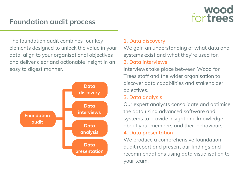## wood<br>for trees

### **Foundation audit process**

The foundation audit combines four key elements designed to unlock the value in your data, align to your organisational objectives and deliver clear and actionable insight in an easy to digest manner.



#### **1. Data discovery**

We gain an understanding of what data and systems exist and what they're used for.

#### **2. Data interviews**

Interviews take place between Wood for Trees staff and the wider organisation to discover data capabilities and stakeholder objectives.

#### **3. Data analysis**

Our expert analysts consolidate and optimise the data using advanced software and systems to provide insight and knowledge about your members and their behaviours.

#### **4. Data presentation**

We produce a comprehensive foundation audit report and present our findings and recommendations using data visualisation to your team.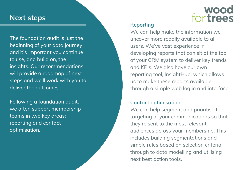#### **Next steps**

The foundation audit is just the beginning of your data journey and it's important you continue to use, and build on, the insights. Our recommendations will provide a roadmap of next steps and we'll work with you to deliver the outcomes.

Following a foundation audit, we often support membership teams in two key areas: reporting and contact optimisation.

## wood<br>for trees

#### **Reporting**

We can help make the information we uncover more readily available to all users. We've vast experience in developing reports that can sit at the top of your CRM system to deliver key trends and KPIs. We also have our own reporting tool, InsightHub, which allows us to make these reports available through a simple web log in and interface.

#### **Contact optimisation**

We can help segment and prioritise the targeting of your communications so that they're sent to the most relevant audiences across your membership. This includes building segmentations and simple rules based on selection criteria through to data modelling and utilising next best action tools.